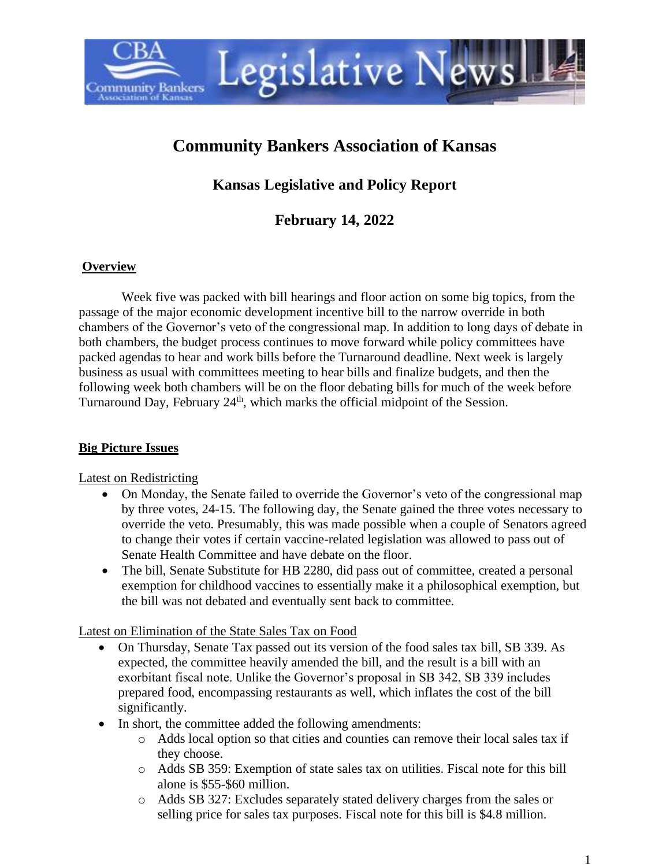

# **Community Bankers Association of Kansas**

**Kansas Legislative and Policy Report**

**February 14, 2022**

#### **Overview**

Week five was packed with bill hearings and floor action on some big topics, from the passage of the major economic development incentive bill to the narrow override in both chambers of the Governor's veto of the congressional map. In addition to long days of debate in both chambers, the budget process continues to move forward while policy committees have packed agendas to hear and work bills before the Turnaround deadline. Next week is largely business as usual with committees meeting to hear bills and finalize budgets, and then the following week both chambers will be on the floor debating bills for much of the week before Turnaround Day, February 24<sup>th</sup>, which marks the official midpoint of the Session.

### **Big Picture Issues**

Latest on Redistricting

- On Monday, the Senate failed to override the Governor's veto of the congressional map by three votes, 24-15. The following day, the Senate gained the three votes necessary to override the veto. Presumably, this was made possible when a couple of Senators agreed to change their votes if certain vaccine-related legislation was allowed to pass out of Senate Health Committee and have debate on the floor.
- The bill, Senate Substitute for HB 2280, did pass out of committee, created a personal exemption for childhood vaccines to essentially make it a philosophical exemption, but the bill was not debated and eventually sent back to committee.

Latest on Elimination of the State Sales Tax on Food

- On Thursday, Senate Tax passed out its version of the food sales tax bill, SB 339. As expected, the committee heavily amended the bill, and the result is a bill with an exorbitant fiscal note. Unlike the Governor's proposal in SB 342, SB 339 includes prepared food, encompassing restaurants as well, which inflates the cost of the bill significantly.
- In short, the committee added the following amendments:
	- o Adds local option so that cities and counties can remove their local sales tax if they choose.
	- o Adds SB 359: Exemption of state sales tax on utilities. Fiscal note for this bill alone is \$55-\$60 million.
	- o Adds SB 327: Excludes separately stated delivery charges from the sales or selling price for sales tax purposes. Fiscal note for this bill is \$4.8 million.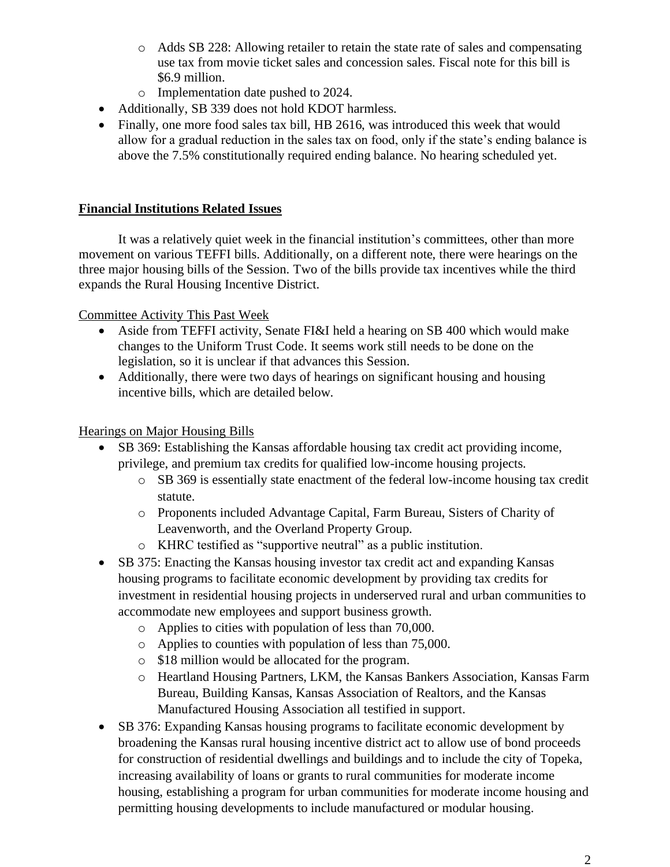- o Adds SB 228: Allowing retailer to retain the state rate of sales and compensating use tax from movie ticket sales and concession sales. Fiscal note for this bill is \$6.9 million.
- o Implementation date pushed to 2024.
- Additionally, SB 339 does not hold KDOT harmless.
- Finally, one more food sales tax bill, HB 2616, was introduced this week that would allow for a gradual reduction in the sales tax on food, only if the state's ending balance is above the 7.5% constitutionally required ending balance. No hearing scheduled yet.

#### **Financial Institutions Related Issues**

It was a relatively quiet week in the financial institution's committees, other than more movement on various TEFFI bills. Additionally, on a different note, there were hearings on the three major housing bills of the Session. Two of the bills provide tax incentives while the third expands the Rural Housing Incentive District.

Committee Activity This Past Week

- Aside from TEFFI activity, Senate FI&I held a hearing on SB 400 which would make changes to the Uniform Trust Code. It seems work still needs to be done on the legislation, so it is unclear if that advances this Session.
- Additionally, there were two days of hearings on significant housing and housing incentive bills, which are detailed below.

#### Hearings on Major Housing Bills

- SB 369: Establishing the Kansas affordable housing tax credit act providing income, privilege, and premium tax credits for qualified low-income housing projects.
	- o SB 369 is essentially state enactment of the federal low-income housing tax credit statute.
	- o Proponents included Advantage Capital, Farm Bureau, Sisters of Charity of Leavenworth, and the Overland Property Group.
	- o KHRC testified as "supportive neutral" as a public institution.
- SB 375: Enacting the Kansas housing investor tax credit act and expanding Kansas housing programs to facilitate economic development by providing tax credits for investment in residential housing projects in underserved rural and urban communities to accommodate new employees and support business growth.
	- o Applies to cities with population of less than 70,000.
	- o Applies to counties with population of less than 75,000.
	- o \$18 million would be allocated for the program.
	- o Heartland Housing Partners, LKM, the Kansas Bankers Association, Kansas Farm Bureau, Building Kansas, Kansas Association of Realtors, and the Kansas Manufactured Housing Association all testified in support.
- SB 376: Expanding Kansas housing programs to facilitate economic development by broadening the Kansas rural housing incentive district act to allow use of bond proceeds for construction of residential dwellings and buildings and to include the city of Topeka, increasing availability of loans or grants to rural communities for moderate income housing, establishing a program for urban communities for moderate income housing and permitting housing developments to include manufactured or modular housing.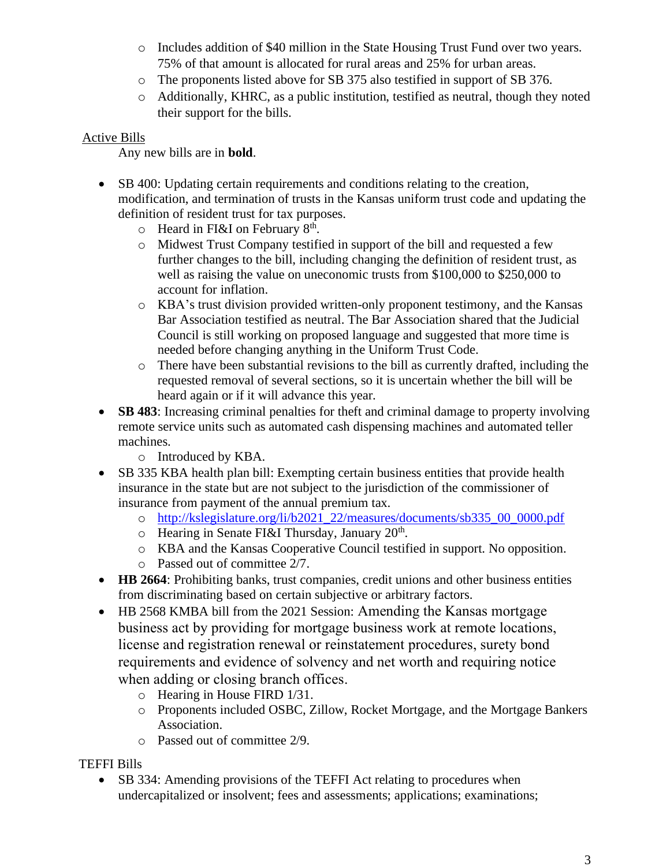- o Includes addition of \$40 million in the State Housing Trust Fund over two years. 75% of that amount is allocated for rural areas and 25% for urban areas.
- o The proponents listed above for SB 375 also testified in support of SB 376.
- o Additionally, KHRC, as a public institution, testified as neutral, though they noted their support for the bills.

### Active Bills

Any new bills are in **bold**.

- SB 400: Updating certain requirements and conditions relating to the creation, modification, and termination of trusts in the Kansas uniform trust code and updating the definition of resident trust for tax purposes.
	- $\circ$  Heard in FI&I on February 8<sup>th</sup>.
	- o Midwest Trust Company testified in support of the bill and requested a few further changes to the bill, including changing the definition of resident trust, as well as raising the value on uneconomic trusts from \$100,000 to \$250,000 to account for inflation.
	- o KBA's trust division provided written-only proponent testimony, and the Kansas Bar Association testified as neutral. The Bar Association shared that the Judicial Council is still working on proposed language and suggested that more time is needed before changing anything in the Uniform Trust Code.
	- o There have been substantial revisions to the bill as currently drafted, including the requested removal of several sections, so it is uncertain whether the bill will be heard again or if it will advance this year.
- **SB 483**: Increasing criminal penalties for theft and criminal damage to property involving remote service units such as automated cash dispensing machines and automated teller machines.
	- o Introduced by KBA.
- SB 335 KBA health plan bill: Exempting certain business entities that provide health insurance in the state but are not subject to the jurisdiction of the commissioner of insurance from payment of the annual premium tax.
	- o [http://kslegislature.org/li/b2021\\_22/measures/documents/sb335\\_00\\_0000.pdf](http://kslegislature.org/li/b2021_22/measures/documents/sb335_00_0000.pdf)
	- $\circ$  Hearing in Senate FI&I Thursday, January 20<sup>th</sup>.
	- o KBA and the Kansas Cooperative Council testified in support. No opposition.
	- o Passed out of committee 2/7.
- **HB 2664**: Prohibiting banks, trust companies, credit unions and other business entities from discriminating based on certain subjective or arbitrary factors.
- HB 2568 KMBA bill from the 2021 Session: Amending the Kansas mortgage business act by providing for mortgage business work at remote locations, license and registration renewal or reinstatement procedures, surety bond requirements and evidence of solvency and net worth and requiring notice when adding or closing branch offices.
	- o Hearing in House FIRD 1/31.
	- o Proponents included OSBC, Zillow, Rocket Mortgage, and the Mortgage Bankers Association.
	- o Passed out of committee 2/9.

## TEFFI Bills

• SB 334: Amending provisions of the TEFFI Act relating to procedures when undercapitalized or insolvent; fees and assessments; applications; examinations;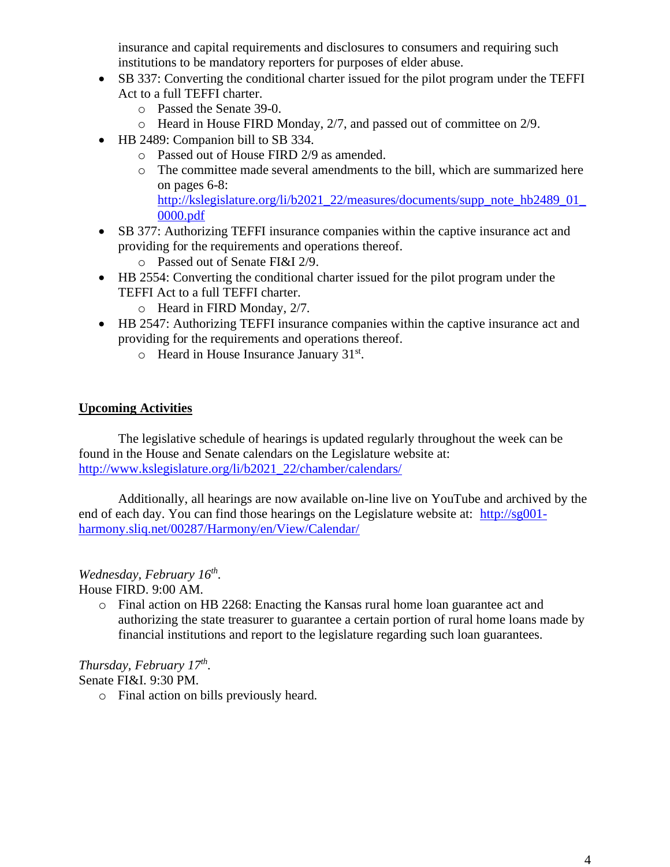insurance and capital requirements and disclosures to consumers and requiring such institutions to be mandatory reporters for purposes of elder abuse.

- SB 337: Converting the conditional charter issued for the pilot program under the TEFFI Act to a full TEFFI charter.
	- o Passed the Senate 39-0.
	- o Heard in House FIRD Monday, 2/7, and passed out of committee on 2/9.
- HB 2489: Companion bill to SB 334.
	- o Passed out of House FIRD 2/9 as amended.
	- o The committee made several amendments to the bill, which are summarized here on pages 6-8: http://kslegislature.org/li/b2021\_22/measures/documents/supp\_note\_hb2489\_01 [0000.pdf](http://kslegislature.org/li/b2021_22/measures/documents/supp_note_hb2489_01_0000.pdf)
- SB 377: Authorizing TEFFI insurance companies within the captive insurance act and providing for the requirements and operations thereof.
	- o Passed out of Senate FI&I 2/9.
- HB 2554: Converting the conditional charter issued for the pilot program under the TEFFI Act to a full TEFFI charter.
	- o Heard in FIRD Monday, 2/7.
- HB 2547: Authorizing TEFFI insurance companies within the captive insurance act and providing for the requirements and operations thereof.
	- o Heard in House Insurance January 31<sup>st</sup>.

#### **Upcoming Activities**

The legislative schedule of hearings is updated regularly throughout the week can be found in the House and Senate calendars on the Legislature website at: [http://www.kslegislature.org/li/b2021\\_22/chamber/calendars/](http://www.kslegislature.org/li/b2021_22/chamber/calendars/)

Additionally, all hearings are now available on-line live on YouTube and archived by the end of each day. You can find those hearings on the Legislature website at: [http://sg001](http://sg001-harmony.sliq.net/00287/Harmony/en/View/Calendar/) [harmony.sliq.net/00287/Harmony/en/View/Calendar/](http://sg001-harmony.sliq.net/00287/Harmony/en/View/Calendar/)

### *Wednesday, February 16th .*

House FIRD. 9:00 AM.

o Final action on HB 2268: Enacting the Kansas rural home loan guarantee act and authorizing the state treasurer to guarantee a certain portion of rural home loans made by financial institutions and report to the legislature regarding such loan guarantees.

*Thursday, February 17th .*  Senate FI&I. 9:30 PM.

o Final action on bills previously heard.